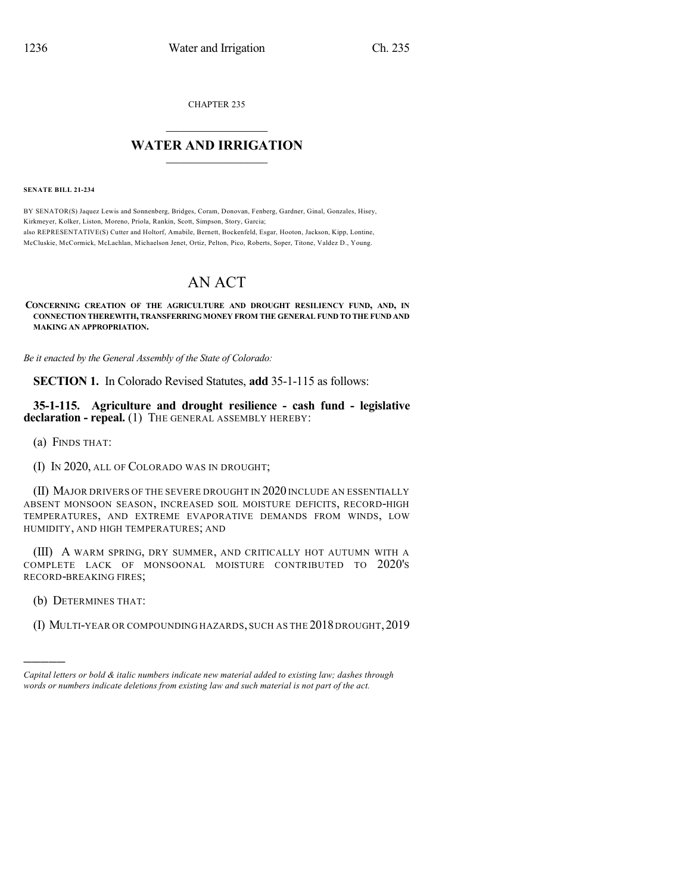CHAPTER 235

## $\mathcal{L}_\text{max}$  . The set of the set of the set of the set of the set of the set of the set of the set of the set of the set of the set of the set of the set of the set of the set of the set of the set of the set of the set **WATER AND IRRIGATION**  $\_$   $\_$

**SENATE BILL 21-234**

BY SENATOR(S) Jaquez Lewis and Sonnenberg, Bridges, Coram, Donovan, Fenberg, Gardner, Ginal, Gonzales, Hisey, Kirkmeyer, Kolker, Liston, Moreno, Priola, Rankin, Scott, Simpson, Story, Garcia; also REPRESENTATIVE(S) Cutter and Holtorf, Amabile, Bernett, Bockenfeld, Esgar, Hooton, Jackson, Kipp, Lontine, McCluskie, McCormick, McLachlan, Michaelson Jenet, Ortiz, Pelton, Pico, Roberts, Soper, Titone, Valdez D., Young.

## AN ACT

## **CONCERNING CREATION OF THE AGRICULTURE AND DROUGHT RESILIENCY FUND, AND, IN CONNECTION THEREWITH, TRANSFERRING MONEY FROM THE GENERAL FUND TO THE FUND AND MAKING AN APPROPRIATION.**

*Be it enacted by the General Assembly of the State of Colorado:*

**SECTION 1.** In Colorado Revised Statutes, **add** 35-1-115 as follows:

**35-1-115. Agriculture and drought resilience - cash fund - legislative declaration - repeal.** (1) THE GENERAL ASSEMBLY HEREBY:

(a) FINDS THAT:

(I) IN 2020, ALL OF COLORADO WAS IN DROUGHT;

(II) MAJOR DRIVERS OF THE SEVERE DROUGHT IN 2020 INCLUDE AN ESSENTIALLY ABSENT MONSOON SEASON, INCREASED SOIL MOISTURE DEFICITS, RECORD-HIGH TEMPERATURES, AND EXTREME EVAPORATIVE DEMANDS FROM WINDS, LOW HUMIDITY, AND HIGH TEMPERATURES; AND

(III) A WARM SPRING, DRY SUMMER, AND CRITICALLY HOT AUTUMN WITH A COMPLETE LACK OF MONSOONAL MOISTURE CONTRIBUTED TO 2020'S RECORD-BREAKING FIRES;

(b) DETERMINES THAT:

)))))

(I) MULTI-YEAR OR COMPOUNDING HAZARDS, SUCH AS THE 2018 DROUGHT,2019

*Capital letters or bold & italic numbers indicate new material added to existing law; dashes through words or numbers indicate deletions from existing law and such material is not part of the act.*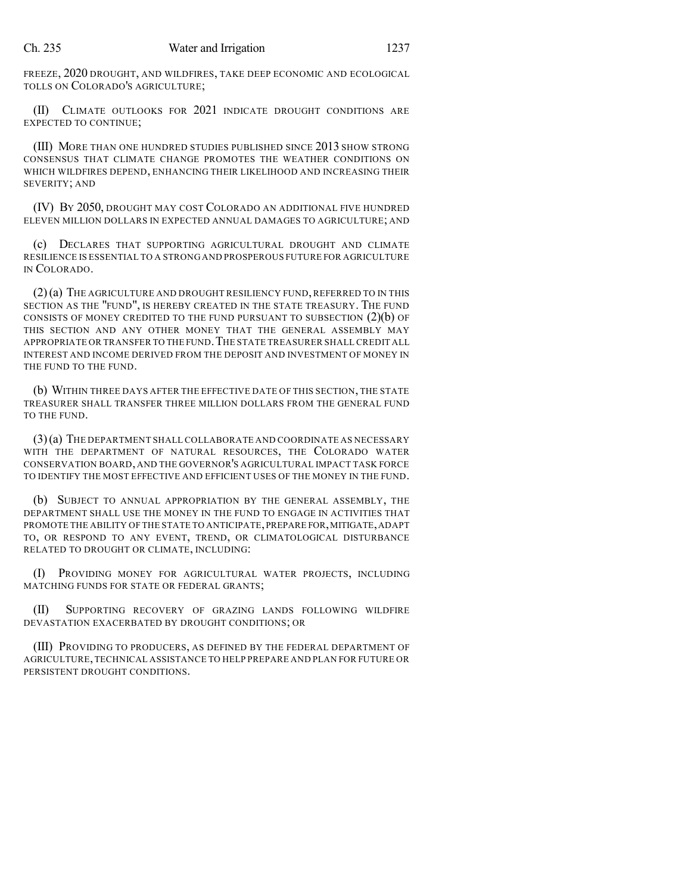FREEZE, 2020 DROUGHT, AND WILDFIRES, TAKE DEEP ECONOMIC AND ECOLOGICAL TOLLS ON COLORADO'S AGRICULTURE;

(II) CLIMATE OUTLOOKS FOR 2021 INDICATE DROUGHT CONDITIONS ARE EXPECTED TO CONTINUE;

(III) MORE THAN ONE HUNDRED STUDIES PUBLISHED SINCE 2013 SHOW STRONG CONSENSUS THAT CLIMATE CHANGE PROMOTES THE WEATHER CONDITIONS ON WHICH WILDFIRES DEPEND, ENHANCING THEIR LIKELIHOOD AND INCREASING THEIR SEVERITY; AND

(IV) BY 2050, DROUGHT MAY COST COLORADO AN ADDITIONAL FIVE HUNDRED ELEVEN MILLION DOLLARS IN EXPECTED ANNUAL DAMAGES TO AGRICULTURE; AND

(c) DECLARES THAT SUPPORTING AGRICULTURAL DROUGHT AND CLIMATE RESILIENCE IS ESSENTIAL TO A STRONG AND PROSPEROUS FUTURE FOR AGRICULTURE IN COLORADO.

(2)(a) THE AGRICULTURE AND DROUGHT RESILIENCY FUND, REFERRED TO IN THIS SECTION AS THE "FUND", IS HEREBY CREATED IN THE STATE TREASURY. THE FUND CONSISTS OF MONEY CREDITED TO THE FUND PURSUANT TO SUBSECTION  $(2)(b)$  OF THIS SECTION AND ANY OTHER MONEY THAT THE GENERAL ASSEMBLY MAY APPROPRIATE OR TRANSFER TO THE FUND. THE STATE TREASURER SHALL CREDIT ALL INTEREST AND INCOME DERIVED FROM THE DEPOSIT AND INVESTMENT OF MONEY IN THE FUND TO THE FUND.

(b) WITHIN THREE DAYS AFTER THE EFFECTIVE DATE OF THIS SECTION, THE STATE TREASURER SHALL TRANSFER THREE MILLION DOLLARS FROM THE GENERAL FUND TO THE FUND.

(3)(a) THE DEPARTMENT SHALL COLLABORATE AND COORDINATE AS NECESSARY WITH THE DEPARTMENT OF NATURAL RESOURCES, THE COLORADO WATER CONSERVATION BOARD, AND THE GOVERNOR'S AGRICULTURAL IMPACT TASK FORCE TO IDENTIFY THE MOST EFFECTIVE AND EFFICIENT USES OF THE MONEY IN THE FUND.

(b) SUBJECT TO ANNUAL APPROPRIATION BY THE GENERAL ASSEMBLY, THE DEPARTMENT SHALL USE THE MONEY IN THE FUND TO ENGAGE IN ACTIVITIES THAT PROMOTE THE ABILITY OF THE STATE TO ANTICIPATE,PREPARE FOR,MITIGATE,ADAPT TO, OR RESPOND TO ANY EVENT, TREND, OR CLIMATOLOGICAL DISTURBANCE RELATED TO DROUGHT OR CLIMATE, INCLUDING:

(I) PROVIDING MONEY FOR AGRICULTURAL WATER PROJECTS, INCLUDING MATCHING FUNDS FOR STATE OR FEDERAL GRANTS;

(II) SUPPORTING RECOVERY OF GRAZING LANDS FOLLOWING WILDFIRE DEVASTATION EXACERBATED BY DROUGHT CONDITIONS; OR

(III) PROVIDING TO PRODUCERS, AS DEFINED BY THE FEDERAL DEPARTMENT OF AGRICULTURE,TECHNICAL ASSISTANCE TO HELP PREPARE AND PLAN FOR FUTURE OR PERSISTENT DROUGHT CONDITIONS.